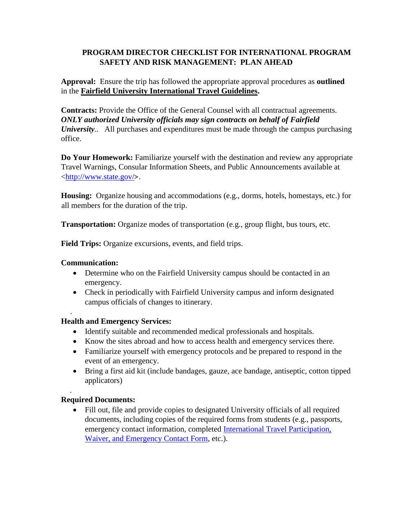## **PROGRAM DIRECTOR CHECKLIST FOR INTERNATIONAL PROGRAM SAFETY AND RISK MANAGEMENT: PLAN AHEAD**

**Approval:** Ensure the trip has followed the appropriate approval procedures as **outlined**  in the **Fairfield University International Travel Guidelines.** 

**Contracts:** Provide the Office of the General Counsel with all contractual agreements. *ONLY authorized University officials may sign contracts on behalf of Fairfield University*... All purchases and expenditures must be made through the campus purchasing office.

**Do Your Homework:** Familiarize yourself with the destination and review any appropriate Travel Warnings, Consular Information Sheets, and Public Announcements available at [<http://www.state.gov/](http://www.state.gov/)[>](http://www.state.gov/).

**Housing:** Organize housing and accommodations (e.g., dorms, hotels, homestays, etc.) for all members for the duration of the trip.

**Transportation:** Organize modes of transportation (e.g., group flight, bus tours, etc.

**Field Trips:** Organize excursions, events, and field trips.

## **Communication:**

.

.

- Determine who on the Fairfield University campus should be contacted in an emergency.
- Check in periodically with Fairfield University campus and inform designated campus officials of changes to itinerary.

## **Health and Emergency Services:**

- Identify suitable and recommended medical professionals and hospitals.
- Know the sites abroad and how to access health and emergency services there.
- Familiarize yourself with emergency protocols and be prepared to respond in the event of an emergency.
- Bring a first aid kit (include bandages, gauze, ace bandage, antiseptic, cotton tipped applicators)

## **Required Documents:**

 Fill out, file and provide copies to designated University officials of all required documents, including copies of the required forms from students (e.g., passports, emergency contact information, completed International Travel Participation, Waiver, and Emergency Contact Form, etc.).